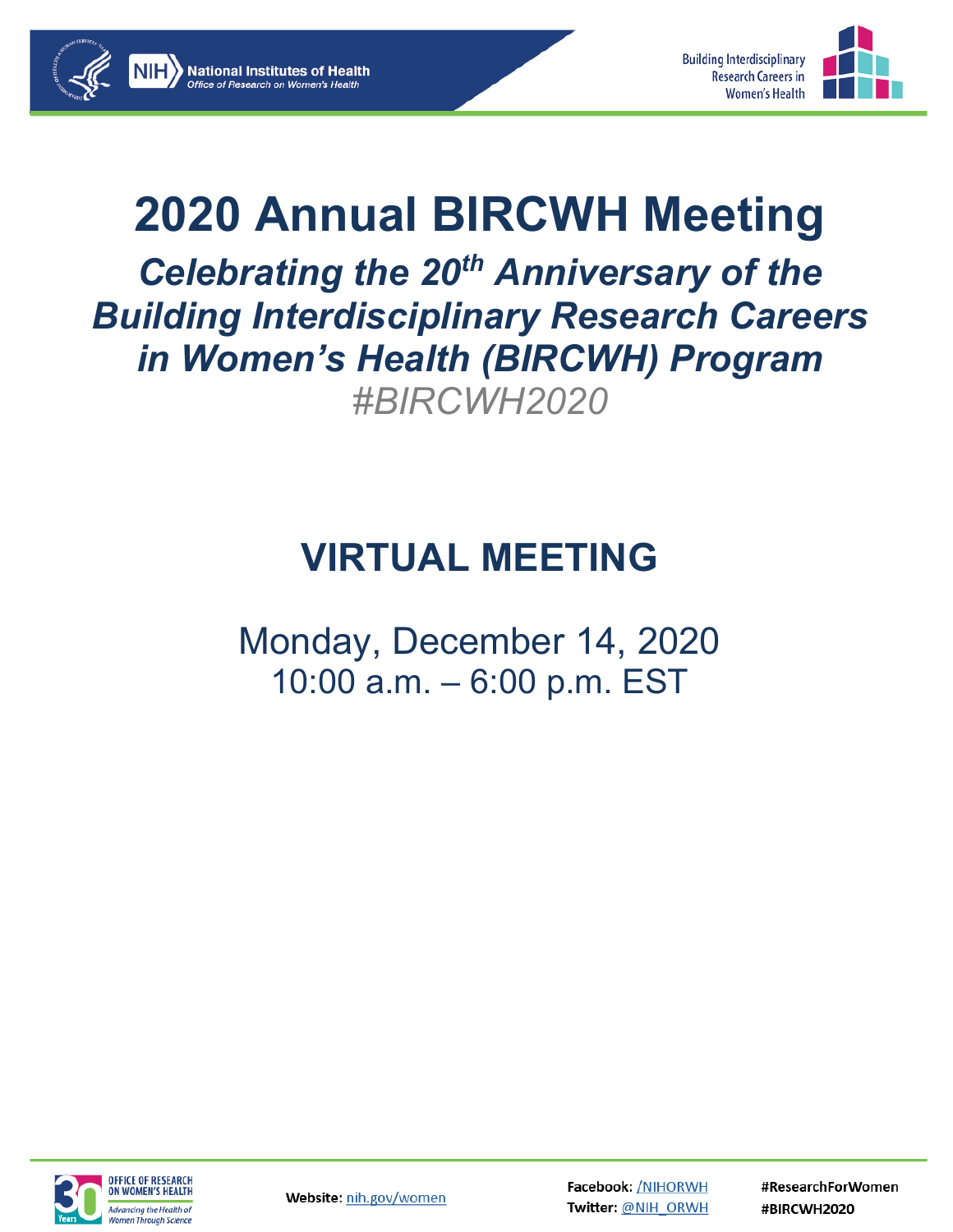



## **2020 Annual BIRCWH Meeting**  *Celebrating the 20th Anniversary of the Building Interdisciplinary Research Careers in Women's Health (BIRCWH) Program #BIRCWH2020*

**National Institutes of Health** 

## **VIRTUAL MEETING**

Monday, December 14, 2020 10:00 a.m. – 6:00 p.m. EST



Website: nih.gov/women

**Facebook: /NIHORWH** Twitter: @NIH\_ORWH #ResearchForWomen #BIRCWH2020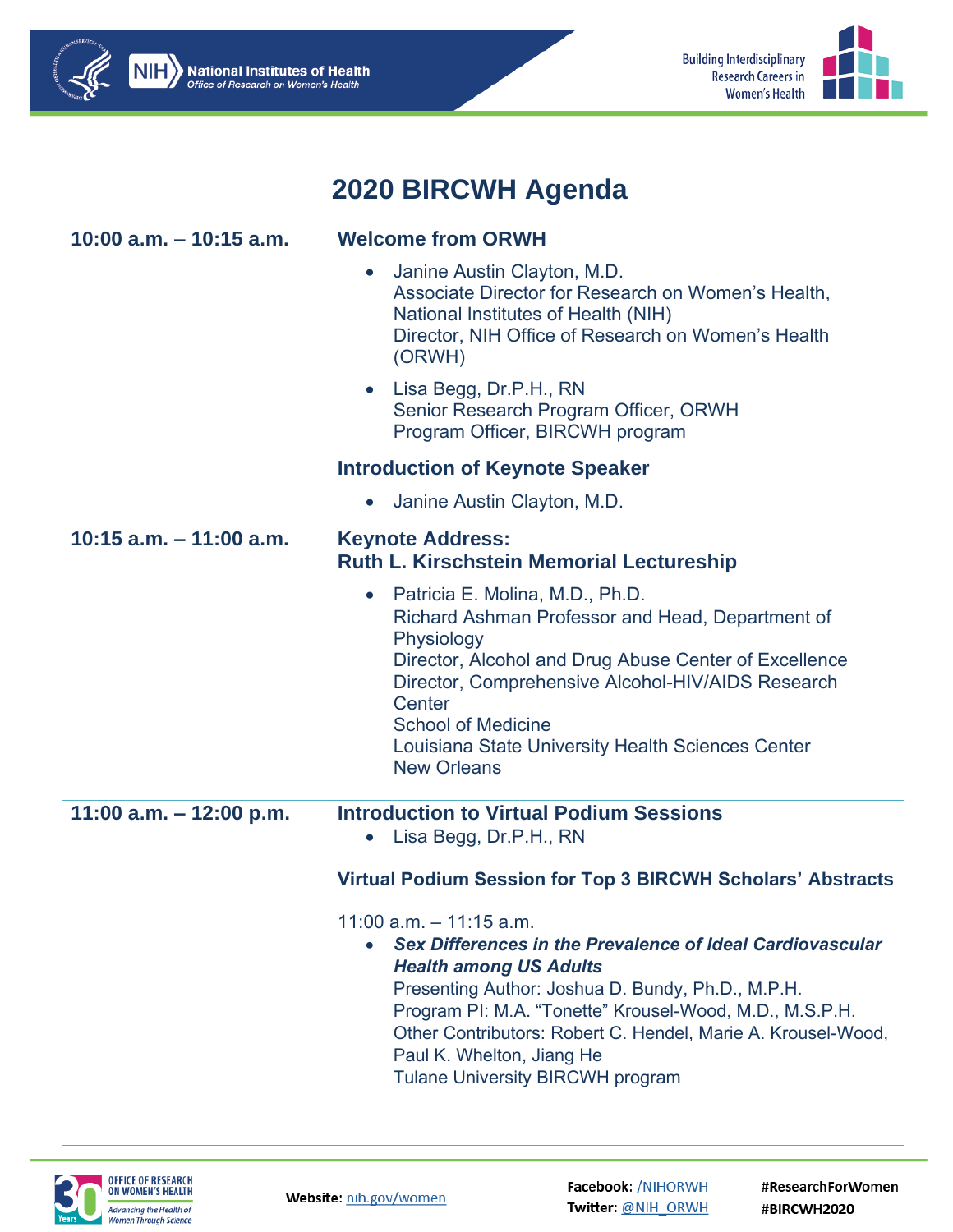



**NIH** National Institutes of Health

Office of Research on Women's Health

#ResearchForWomen #BIRCWH2020

**Building Interdisciplinary** 

**Research Careers in** 

**Women's Health**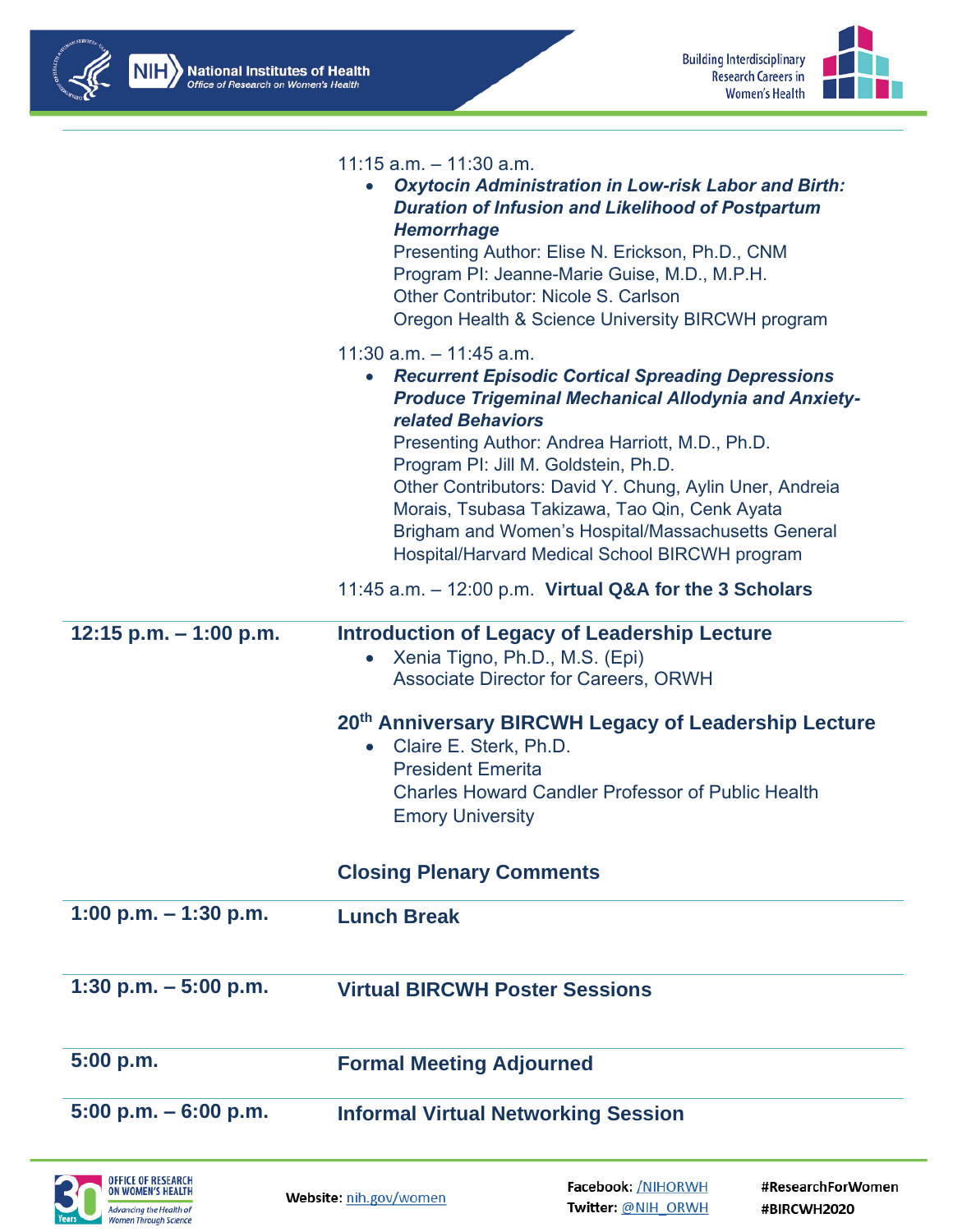



|                          | $11:15$ a.m. $-11:30$ a.m.<br><b>Oxytocin Administration in Low-risk Labor and Birth:</b><br><b>Duration of Infusion and Likelihood of Postpartum</b><br><b>Hemorrhage</b><br>Presenting Author: Elise N. Erickson, Ph.D., CNM<br>Program PI: Jeanne-Marie Guise, M.D., M.P.H.<br><b>Other Contributor: Nicole S. Carlson</b><br>Oregon Health & Science University BIRCWH program                                                                                                          |
|--------------------------|---------------------------------------------------------------------------------------------------------------------------------------------------------------------------------------------------------------------------------------------------------------------------------------------------------------------------------------------------------------------------------------------------------------------------------------------------------------------------------------------|
|                          | $11:30$ a.m. $-11:45$ a.m.<br>• Recurrent Episodic Cortical Spreading Depressions<br><b>Produce Trigeminal Mechanical Allodynia and Anxiety-</b><br><b>related Behaviors</b><br>Presenting Author: Andrea Harriott, M.D., Ph.D.<br>Program PI: Jill M. Goldstein, Ph.D.<br>Other Contributors: David Y. Chung, Aylin Uner, Andreia<br>Morais, Tsubasa Takizawa, Tao Qin, Cenk Ayata<br>Brigham and Women's Hospital/Massachusetts General<br>Hospital/Harvard Medical School BIRCWH program |
|                          | 11:45 a.m. - 12:00 p.m. Virtual Q&A for the 3 Scholars                                                                                                                                                                                                                                                                                                                                                                                                                                      |
| 12:15 p.m. $-$ 1:00 p.m. | <b>Introduction of Legacy of Leadership Lecture</b><br>Xenia Tigno, Ph.D., M.S. (Epi)<br><b>Associate Director for Careers, ORWH</b>                                                                                                                                                                                                                                                                                                                                                        |
|                          | 20th Anniversary BIRCWH Legacy of Leadership Lecture<br>• Claire E. Sterk, Ph.D.<br><b>President Emerita</b><br><b>Charles Howard Candler Professor of Public Health</b><br><b>Emory University</b>                                                                                                                                                                                                                                                                                         |
|                          |                                                                                                                                                                                                                                                                                                                                                                                                                                                                                             |
|                          | <b>Closing Plenary Comments</b>                                                                                                                                                                                                                                                                                                                                                                                                                                                             |
| 1:00 p.m. $-1:30$ p.m.   | <b>Lunch Break</b>                                                                                                                                                                                                                                                                                                                                                                                                                                                                          |
| 1:30 p.m. $-5:00$ p.m.   | <b>Virtual BIRCWH Poster Sessions</b>                                                                                                                                                                                                                                                                                                                                                                                                                                                       |
| 5:00 p.m.                | <b>Formal Meeting Adjourned</b>                                                                                                                                                                                                                                                                                                                                                                                                                                                             |
| $5:00$ p.m. $-6:00$ p.m. | <b>Informal Virtual Networking Session</b>                                                                                                                                                                                                                                                                                                                                                                                                                                                  |



Website: nih.gov/women

Facebook: /NIHORWH Twitter: @NIH\_ORWH #ResearchForWomen #BIRCWH2020